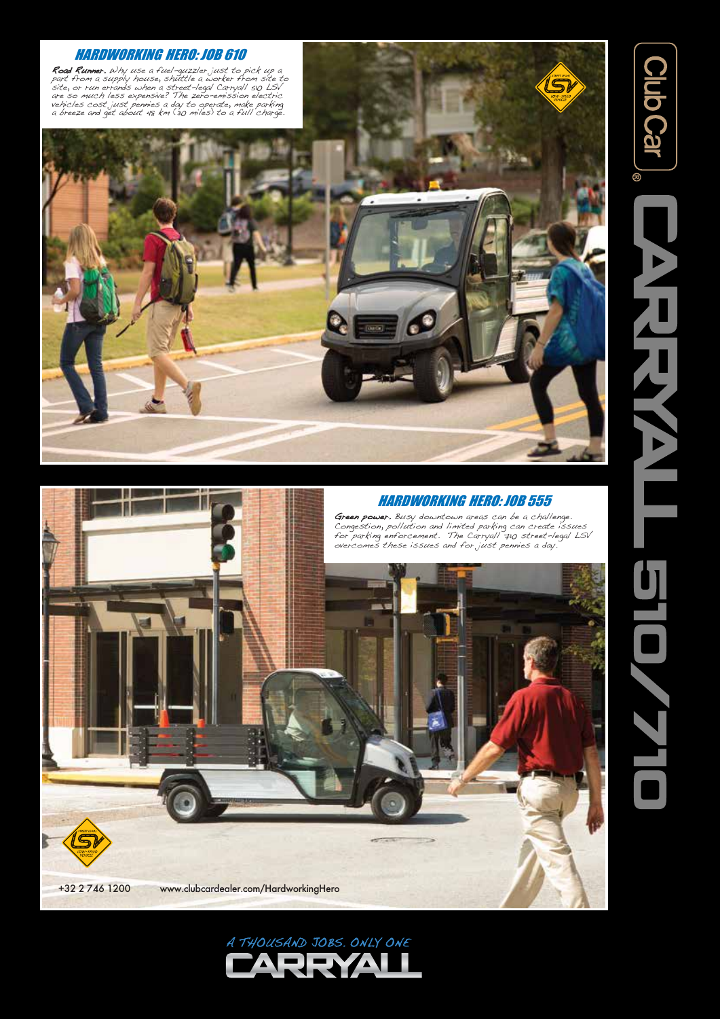